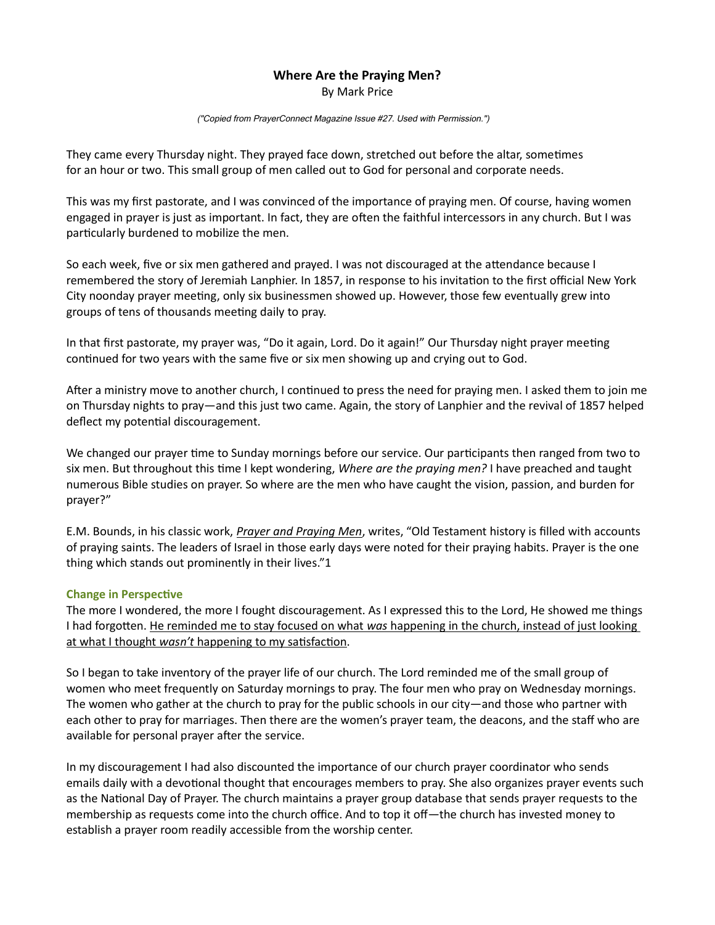## Where Are the Praying Men?

By Mark Price

("Copied from PrayerConnect Magazine Issue #27. Used with Permission.")

They came every Thursday night. They prayed face down, stretched out before the altar, sometimes for an hour or two. This small group of men called out to God for personal and corporate needs.

This was my first pastorate, and I was convinced of the importance of praying men. Of course, having women engaged in prayer is just as important. In fact, they are often the faithful intercessors in any church. But I was particularly burdened to mobilize the men.

So each week, five or six men gathered and prayed. I was not discouraged at the attendance because I remembered the story of Jeremiah Lanphier. In 1857, in response to his invitation to the first official New York City noonday prayer meeting, only six businessmen showed up. However, those few eventually grew into groups of tens of thousands meeting daily to pray.

In that first pastorate, my prayer was, "Do it again, Lord. Do it again!" Our Thursday night prayer meeting continued for two years with the same five or six men showing up and crying out to God.

After a ministry move to another church, I continued to press the need for praying men. I asked them to join me on Thursday nights to pray—and this just two came. Again, the story of Lanphier and the revival of 1857 helped deflect my potential discouragement.

We changed our prayer time to Sunday mornings before our service. Our participants then ranged from two to six men. But throughout this time I kept wondering, Where are the praying men? I have preached and taught numerous Bible studies on prayer. So where are the men who have caught the vision, passion, and burden for prayer?"

E.M. Bounds, in his classic work, *Prayer and Praying Men*, writes, "Old Testament history is filled with accounts of praying saints. The leaders of Israel in those early days were noted for their praying habits. Prayer is the one thing which stands out prominently in their lives."1

## Change in Perspective

The more I wondered, the more I fought discouragement. As I expressed this to the Lord, He showed me things I had forgotten. He reminded me to stay focused on what was happening in the church, instead of just looking at what I thought wasn't happening to my satisfaction.

So I began to take inventory of the prayer life of our church. The Lord reminded me of the small group of women who meet frequently on Saturday mornings to pray. The four men who pray on Wednesday mornings. The women who gather at the church to pray for the public schools in our city—and those who partner with each other to pray for marriages. Then there are the women's prayer team, the deacons, and the staff who are available for personal prayer after the service.

In my discouragement I had also discounted the importance of our church prayer coordinator who sends emails daily with a devotional thought that encourages members to pray. She also organizes prayer events such as the National Day of Prayer. The church maintains a prayer group database that sends prayer requests to the membership as requests come into the church office. And to top it off—the church has invested money to establish a prayer room readily accessible from the worship center.